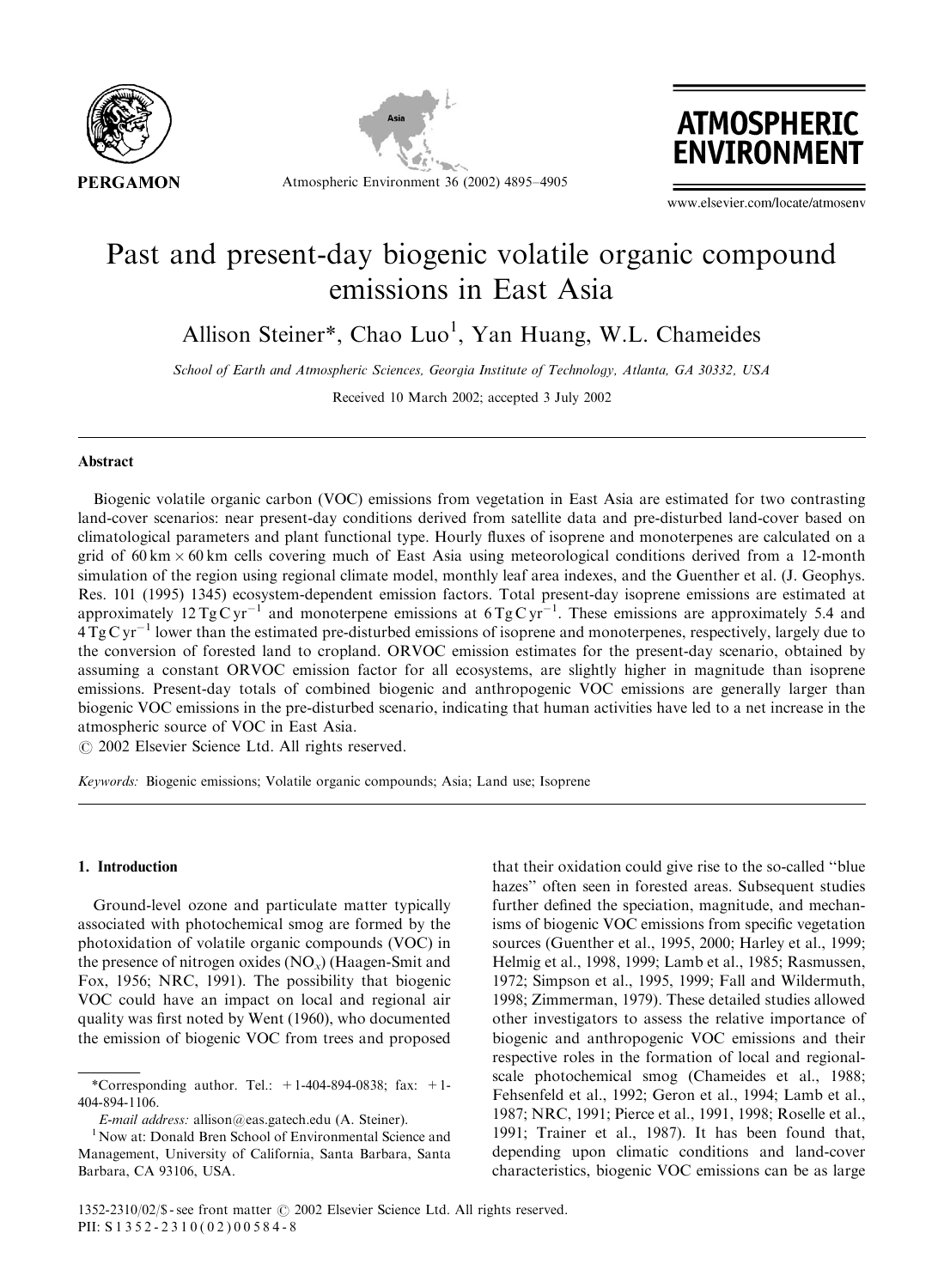





www.elsevier.com/locate/atmosenv

# Past and present-day biogenic volatile organic compound emissions in East Asia

Allison Steiner\*, Chao Luo<sup>1</sup>, Yan Huang, W.L. Chameides

School of Earth and Atmospheric Sciences, Georgia Institute of Technology, Atlanta, GA 30332, USA

Received 10 March 2002; accepted 3 July 2002

# Abstract

Biogenic volatile organic carbon (VOC) emissions from vegetation in East Asia are estimated for two contrasting land-cover scenarios: near present-day conditions derived from satellite data and pre-disturbed land-cover based on climatological parameters and plant functional type. Hourly fluxes of isoprene and monoterpenes are calculated on a grid of  $60 \text{ km} \times 60 \text{ km}$  cells covering much of East Asia using meteorological conditions derived from a 12-month simulation of the region using regional climate model, monthly leaf area indexes, and the Guenther et al. (J. Geophys. Res. 101 (1995) 1345) ecosystem-dependent emission factors. Total present-day isoprene emissions are estimated at approximately  $12 \text{ TgC yr}^{-1}$  and monoterpene emissions at  $6 \text{ TgC yr}^{-1}$ . These emissions are approximately 5.4 and  $4 \text{ Tg} \text{C} \text{yr}^{-1}$  lower than the estimated pre-disturbed emissions of isoprene and monoterpenes, respectively, largely due to the conversion of forested land to cropland. ORVOC emission estimates for the present-day scenario, obtained by assuming a constant ORVOC emission factor for all ecosystems, are slightly higher in magnitude than isoprene emissions. Present-day totals of combined biogenic and anthropogenic VOC emissions are generally larger than biogenic VOC emissions in the pre-disturbed scenario, indicating that human activities have led to a net increase in the atmospheric source of VOC in East Asia.

 $\odot$  2002 Elsevier Science Ltd. All rights reserved.

Keywords: Biogenic emissions; Volatile organic compounds; Asia; Land use; Isoprene

### 1. Introduction

Ground-level ozone and particulate matter typically associated with photochemical smogare formed by the photoxidation of volatile organic compounds (VOC) in the presence of nitrogen oxides  $(NO<sub>x</sub>)$  (Haagen-Smit and Fox, 1956; NRC, 1991). The possibility that biogenic VOC could have an impact on local and regional air quality was first noted by Went (1960), who documented the emission of biogenic VOC from trees and proposed

that their oxidation could give rise to the so-called ''blue hazes'' often seen in forested areas. Subsequent studies further defined the speciation, magnitude, and mechanisms of biogenic VOC emissions from specific vegetation sources (Guenther et al., 1995, 2000; Harley et al., 1999; Helmiget al., 1998, 1999; Lamb et al., 1985; Rasmussen, 1972; Simpson et al., 1995, 1999; Fall and Wildermuth, 1998; Zimmerman, 1979). These detailed studies allowed other investigators to assess the relative importance of biogenic and anthropogenic VOC emissions and their respective roles in the formation of local and regionalscale photochemical smog (Chameides et al., 1988; Fehsenfeld et al., 1992; Geron et al., 1994; Lamb et al., 1987; NRC, 1991; Pierce et al., 1991, 1998; Roselle et al., 1991; Trainer et al., 1987). It has been found that, depending upon climatic conditions and land-cover characteristics, biogenic VOC emissions can be as large

<sup>\*</sup>Corresponding author. Tel.:  $+1-404-894-0838$ ; fax:  $+1-$ 404-894-1106.

E-mail address: allison@eas.gatech.edu (A. Steiner).<br><sup>1</sup>Now at: Donald Bren School of Environmental Science and Management, University of California, Santa Barbara, Santa Barbara, CA 93106, USA.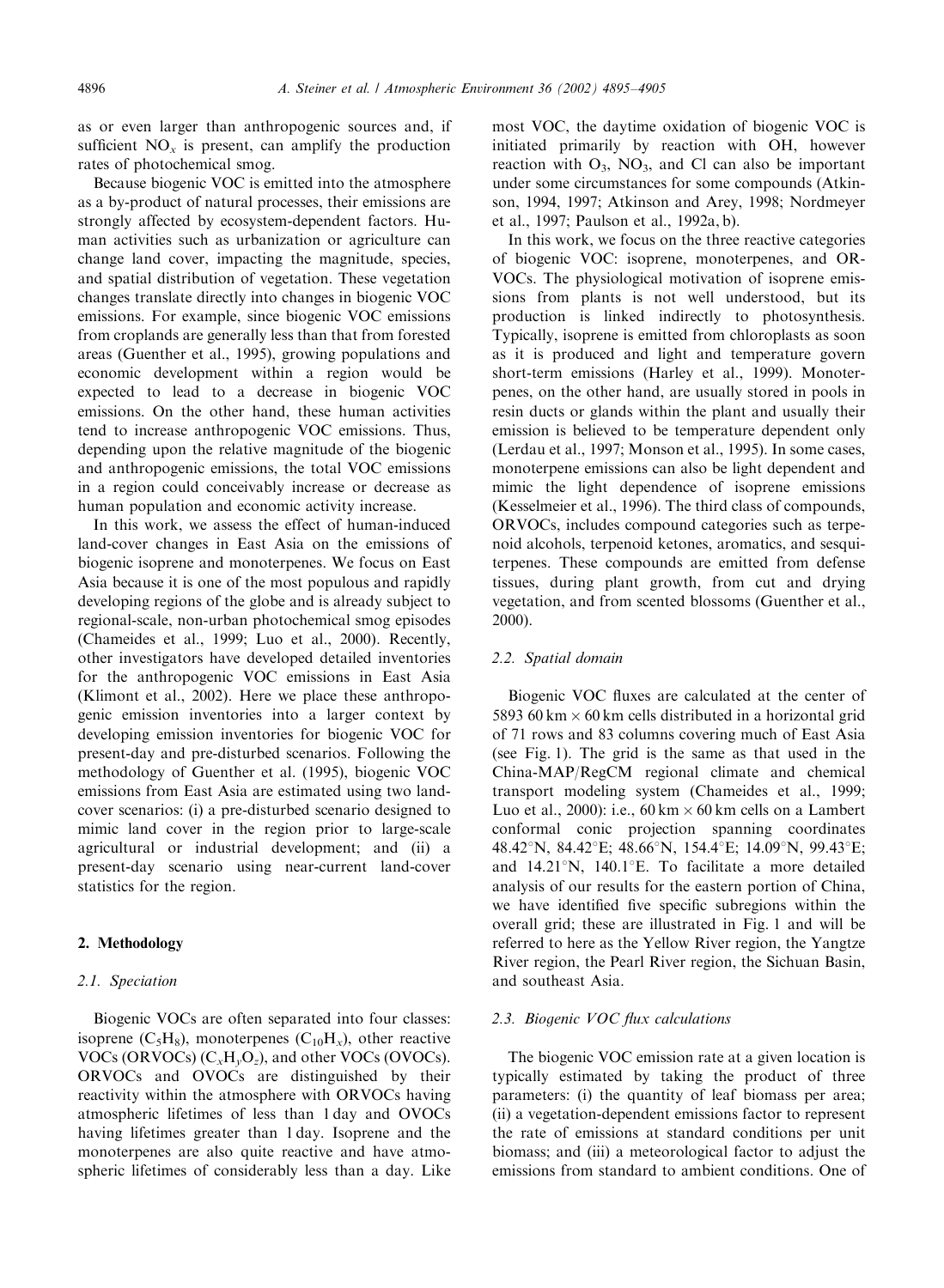as or even larger than anthropogenic sources and, if sufficient  $NO<sub>x</sub>$  is present, can amplify the production rates of photochemical smog.

Because biogenic VOC is emitted into the atmosphere as a by-product of natural processes, their emissions are strongly affected by ecosystem-dependent factors. Human activities such as urbanization or agriculture can change land cover, impacting the magnitude, species, and spatial distribution of vegetation. These vegetation changes translate directly into changes in biogenic VOC emissions. For example, since biogenic VOC emissions from croplands are generally less than that from forested areas (Guenther et al., 1995), growing populations and economic development within a region would be expected to lead to a decrease in biogenic VOC emissions. On the other hand, these human activities tend to increase anthropogenic VOC emissions. Thus, depending upon the relative magnitude of the biogenic and anthropogenic emissions, the total VOC emissions in a region could conceivably increase or decrease as human population and economic activity increase.

In this work, we assess the effect of human-induced land-cover changes in East Asia on the emissions of biogenic isoprene and monoterpenes. We focus on East Asia because it is one of the most populous and rapidly developing regions of the globe and is already subject to regional-scale, non-urban photochemical smog episodes (Chameides et al., 1999; Luo et al., 2000). Recently, other investigators have developed detailed inventories for the anthropogenic VOC emissions in East Asia (Klimont et al., 2002). Here we place these anthropogenic emission inventories into a larger context by developing emission inventories for biogenic VOC for present-day and pre-disturbed scenarios. Following the methodology of Guenther et al. (1995), biogenic VOC emissions from East Asia are estimated using two landcover scenarios: (i) a pre-disturbed scenario designed to mimic land cover in the region prior to large-scale agricultural or industrial development; and (ii) a present-day scenario using near-current land-cover statistics for the region.

#### 2. Methodology

#### 2.1. Speciation

Biogenic VOCs are often separated into four classes: isoprene  $(C_5H_8)$ , monoterpenes  $(C_{10}H_8)$ , other reactive VOCs (ORVOCs)  $(C_xH_vO_z)$ , and other VOCs (OVOCs). ORVOCs and OVOCs are distinguished by their reactivity within the atmosphere with ORVOCs having atmospheric lifetimes of less than 1 day and OVOCs having lifetimes greater than 1 day. Isoprene and the monoterpenes are also quite reactive and have atmospheric lifetimes of considerably less than a day. Like most VOC, the daytime oxidation of biogenic VOC is initiated primarily by reaction with OH, however reaction with  $O_3$ ,  $NO_3$ , and Cl can also be important under some circumstances for some compounds (Atkinson, 1994, 1997; Atkinson and Arey, 1998; Nordmeyer et al., 1997; Paulson et al., 1992a, b).

In this work, we focus on the three reactive categories of biogenic VOC: isoprene, monoterpenes, and OR-VOCs. The physiological motivation of isoprene emissions from plants is not well understood, but its production is linked indirectly to photosynthesis. Typically, isoprene is emitted from chloroplasts as soon as it is produced and light and temperature govern short-term emissions (Harley et al., 1999). Monoterpenes, on the other hand, are usually stored in pools in resin ducts or glands within the plant and usually their emission is believed to be temperature dependent only (Lerdau et al., 1997; Monson et al., 1995). In some cases, monoterpene emissions can also be light dependent and mimic the light dependence of isoprene emissions (Kesselmeier et al., 1996). The third class of compounds, ORVOCs, includes compound categories such as terpenoid alcohols, terpenoid ketones, aromatics, and sesquiterpenes. These compounds are emitted from defense tissues, during plant growth, from cut and drying vegetation, and from scented blossoms (Guenther et al., 2000).

# 2.2. Spatial domain

Biogenic VOC fluxes are calculated at the center of 5893 60 km  $\times$  60 km cells distributed in a horizontal grid of 71 rows and 83 columns covering much of East Asia (see Fig. 1). The grid is the same as that used in the China-MAP/RegCM regional climate and chemical transport modeling system (Chameides et al., 1999; Luo et al., 2000): i.e.,  $60 \text{ km} \times 60 \text{ km}$  cells on a Lambert conformal conic projection spanning coordinates 48.42°N, 84.42°E; 48.66°N, 154.4°E; 14.09°N, 99.43°E; and  $14.21^{\circ}N$ ,  $140.1^{\circ}E$ . To facilitate a more detailed analysis of our results for the eastern portion of China, we have identified five specific subregions within the overall grid; these are illustrated in Fig. 1 and will be referred to here as the Yellow River region, the Yangtze River region, the Pearl River region, the Sichuan Basin, and southeast Asia.

# 2.3. Biogenic VOC flux calculations

The biogenic VOC emission rate at a given location is typically estimated by taking the product of three parameters: (i) the quantity of leaf biomass per area; (ii) a vegetation-dependent emissions factor to represent the rate of emissions at standard conditions per unit biomass; and (iii) a meteorological factor to adjust the emissions from standard to ambient conditions. One of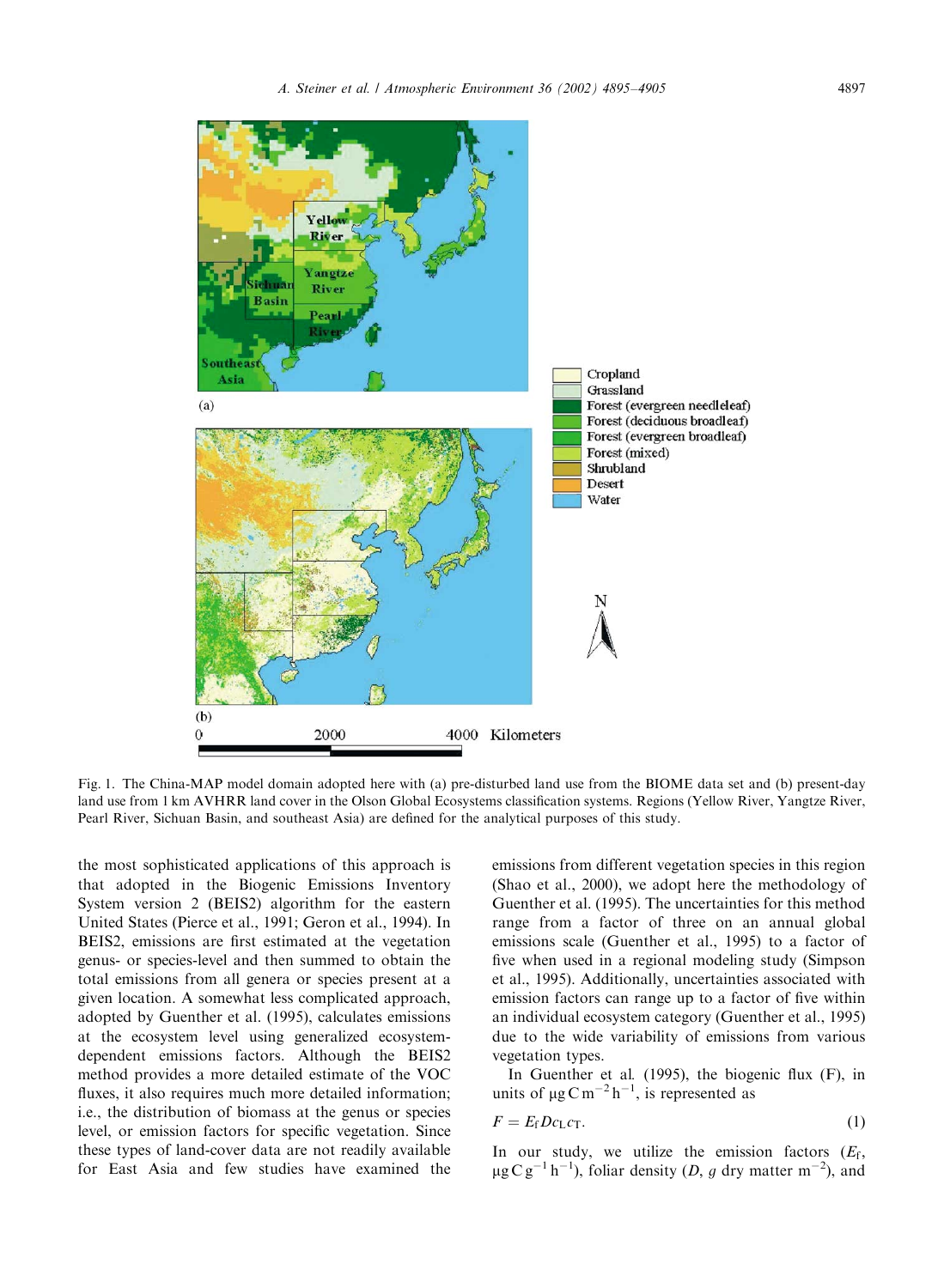

Fig. 1. The China-MAP model domain adopted here with (a) pre-disturbed land use from the BIOME data set and (b) present-day land use from 1 km AVHRR land cover in the Olson Global Ecosystems classification systems. Regions (Yellow River, Yangtze River, Pearl River, Sichuan Basin, and southeast Asia) are defined for the analytical purposes of this study.

the most sophisticated applications of this approach is that adopted in the Biogenic Emissions Inventory System version 2 (BEIS2) algorithm for the eastern United States (Pierce et al., 1991; Geron et al., 1994). In BEIS2, emissions are first estimated at the vegetation genus- or species-level and then summed to obtain the total emissions from all genera or species present at a given location. A somewhat less complicated approach, adopted by Guenther et al. (1995), calculates emissions at the ecosystem level using generalized ecosystemdependent emissions factors. Although the BEIS2 method provides a more detailed estimate of the VOC fluxes, it also requires much more detailed information; i.e., the distribution of biomass at the genus or species level, or emission factors for specific vegetation. Since these types of land-cover data are not readily available for East Asia and few studies have examined the

emissions from different vegetation species in this region (Shao et al., 2000), we adopt here the methodology of Guenther et al. (1995). The uncertainties for this method range from a factor of three on an annual global emissions scale (Guenther et al., 1995) to a factor of five when used in a regional modeling study (Simpson et al., 1995). Additionally, uncertainties associated with emission factors can range up to a factor of five within an individual ecosystem category (Guenther et al., 1995) due to the wide variability of emissions from various vegetation types.

In Guenther et al. (1995), the biogenic flux (F), in units of  $\mu$ g C m<sup>-2</sup> h<sup>-1</sup>, is represented as

$$
F = E_{\rm f} D c_{\rm L} c_{\rm T}.
$$
 (1)

In our study, we utilize the emission factors  $(E_f)$ ,  $\mu$ g C g<sup>-1</sup> h<sup>-1</sup>), foliar density (*D*, *g* dry matter m<sup>-2</sup>), and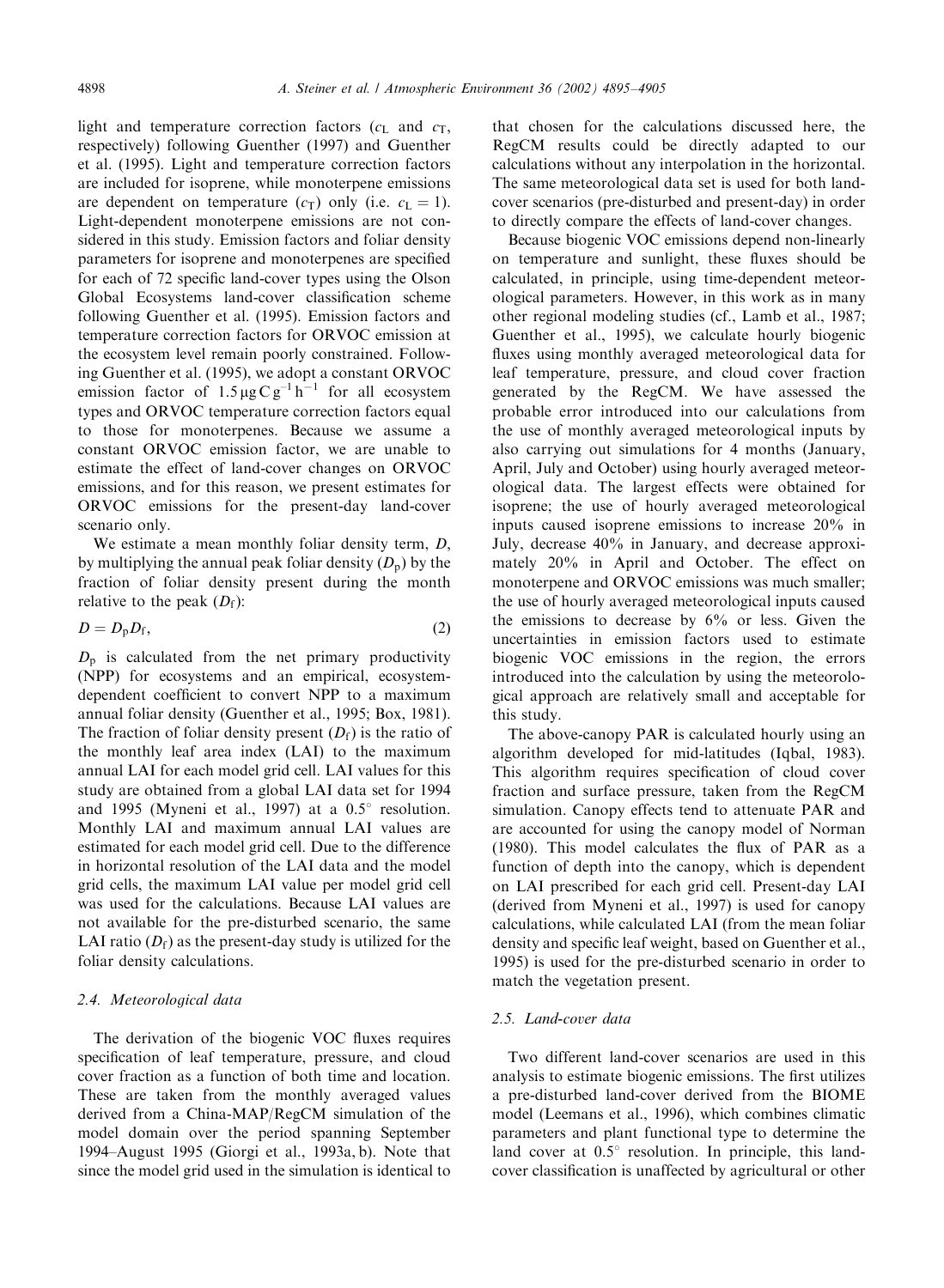light and temperature correction factors  $(c<sub>L</sub>$  and  $c<sub>T</sub>$ , respectively) following Guenther (1997) and Guenther et al. (1995). Light and temperature correction factors are included for isoprene, while monoterpene emissions are dependent on temperature  $(c_T)$  only (i.e.  $c_L = 1$ ). Light-dependent monoterpene emissions are not considered in this study. Emission factors and foliar density parameters for isoprene and monoterpenes are specified for each of 72 specific land-cover types using the Olson Global Ecosystems land-cover classification scheme following Guenther et al. (1995). Emission factors and temperature correction factors for ORVOC emission at the ecosystem level remain poorly constrained. Following Guenther et al. (1995), we adopt a constant ORVOC emission factor of  $1.5 \mu g C g^{-1} h^{-1}$  for all ecosystem types and ORVOC temperature correction factors equal to those for monoterpenes. Because we assume a constant ORVOC emission factor, we are unable to estimate the effect of land-cover changes on ORVOC emissions, and for this reason, we present estimates for ORVOC emissions for the present-day land-cover scenario only.

We estimate a mean monthly foliar density term,  $D$ , by multiplying the annual peak foliar density  $(D_p)$  by the fraction of foliar density present during the month relative to the peak  $(D_f)$ :

$$
D = D_{\rm p} D_{\rm f},\tag{2}
$$

 $D_p$  is calculated from the net primary productivity (NPP) for ecosystems and an empirical, ecosystemdependent coefficient to convert NPP to a maximum annual foliar density (Guenther et al., 1995; Box, 1981). The fraction of foliar density present  $(D_f)$  is the ratio of the monthly leaf area index (LAI) to the maximum annual LAI for each model grid cell. LAI values for this study are obtained from a global LAI data set for 1994 and 1995 (Myneni et al., 1997) at a  $0.5^{\circ}$  resolution. Monthly LAI and maximum annual LAI values are estimated for each model grid cell. Due to the difference in horizontal resolution of the LAI data and the model grid cells, the maximum LAI value per model grid cell was used for the calculations. Because LAI values are not available for the pre-disturbed scenario, the same LAI ratio  $(D_f)$  as the present-day study is utilized for the foliar density calculations.

### 2.4. Meteorological data

The derivation of the biogenic VOC fluxes requires specification of leaf temperature, pressure, and cloud cover fraction as a function of both time and location. These are taken from the monthly averaged values derived from a China-MAP/RegCM simulation of the model domain over the period spanning September 1994–August 1995 (Giorgi et al., 1993a, b). Note that since the model grid used in the simulation is identical to

that chosen for the calculations discussed here, the RegCM results could be directly adapted to our calculations without any interpolation in the horizontal. The same meteorological data set is used for both landcover scenarios (pre-disturbed and present-day) in order to directly compare the effects of land-cover changes.

Because biogenic VOC emissions depend non-linearly on temperature and sunlight, these fluxes should be calculated, in principle, using time-dependent meteorological parameters. However, in this work as in many other regional modeling studies (cf., Lamb et al., 1987; Guenther et al., 1995), we calculate hourly biogenic fluxes using monthly averaged meteorological data for leaf temperature, pressure, and cloud cover fraction generated by the RegCM. We have assessed the probable error introduced into our calculations from the use of monthly averaged meteorological inputs by also carrying out simulations for 4 months (January, April, July and October) using hourly averaged meteorological data. The largest effects were obtained for isoprene; the use of hourly averaged meteorological inputs caused isoprene emissions to increase 20% in July, decrease 40% in January, and decrease approximately 20% in April and October. The effect on monoterpene and ORVOC emissions was much smaller; the use of hourly averaged meteorological inputs caused the emissions to decrease by 6% or less. Given the uncertainties in emission factors used to estimate biogenic VOC emissions in the region, the errors introduced into the calculation by using the meteorological approach are relatively small and acceptable for this study.

The above-canopy PAR is calculated hourly using an algorithm developed for mid-latitudes (Iqbal, 1983). This algorithm requires specification of cloud cover fraction and surface pressure, taken from the RegCM simulation. Canopy effects tend to attenuate PAR and are accounted for using the canopy model of Norman (1980). This model calculates the flux of PAR as a function of depth into the canopy, which is dependent on LAI prescribed for each grid cell. Present-day LAI (derived from Myneni et al., 1997) is used for canopy calculations, while calculated LAI (from the mean foliar density and specific leaf weight, based on Guenther et al., 1995) is used for the pre-disturbed scenario in order to match the vegetation present.

# 2.5. Land-cover data

Two different land-cover scenarios are used in this analysis to estimate biogenic emissions. The first utilizes a pre-disturbed land-cover derived from the BIOME model (Leemans et al., 1996), which combines climatic parameters and plant functional type to determine the land cover at  $0.5^\circ$  resolution. In principle, this landcover classification is unaffected by agricultural or other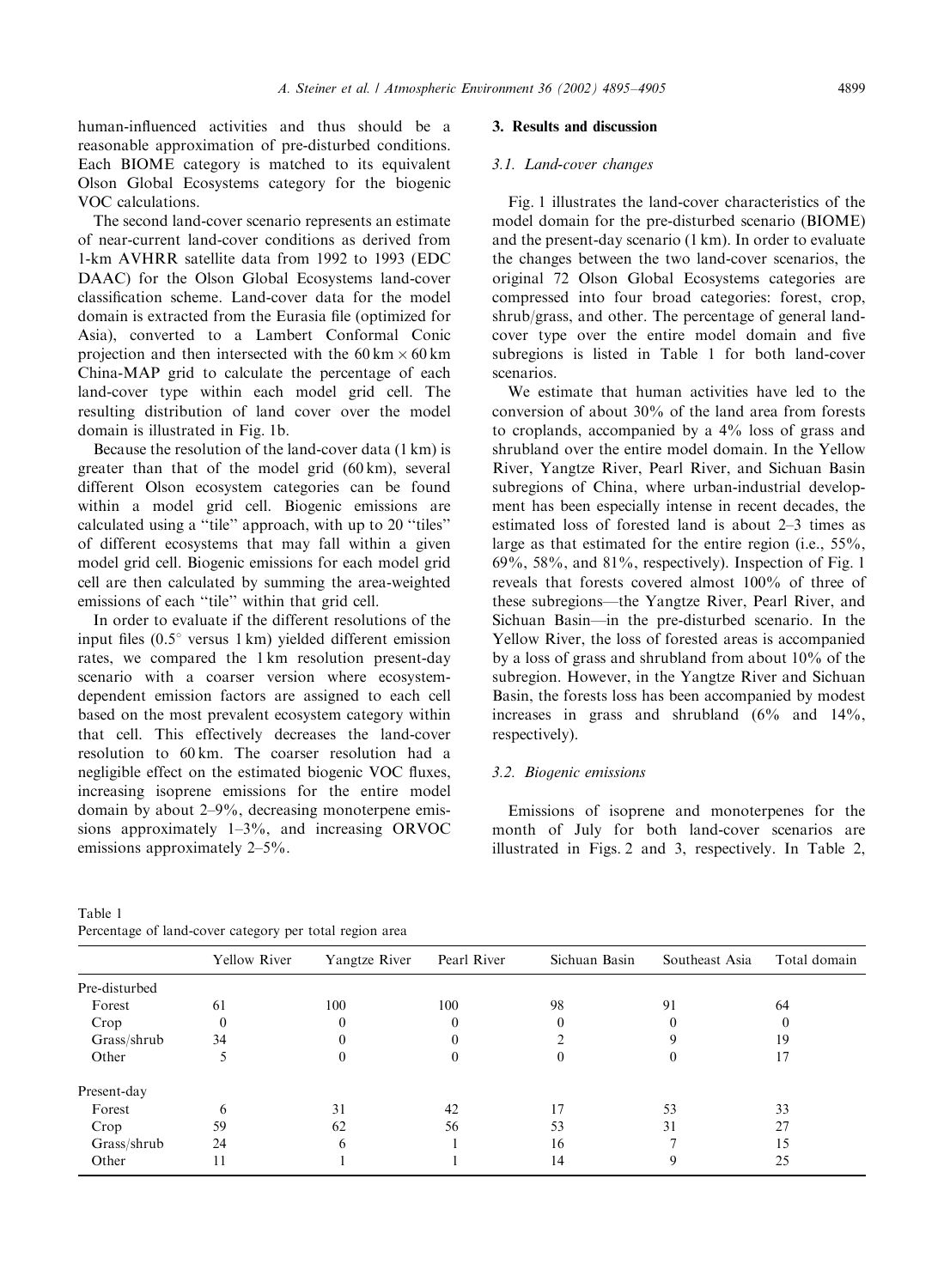human-influenced activities and thus should be a reasonable approximation of pre-disturbed conditions. Each BIOME category is matched to its equivalent Olson Global Ecosystems category for the biogenic VOC calculations.

The second land-cover scenario represents an estimate of near-current land-cover conditions as derived from 1-km AVHRR satellite data from 1992 to 1993 (EDC DAAC) for the Olson Global Ecosystems land-cover classification scheme. Land-cover data for the model domain is extracted from the Eurasia file (optimized for Asia), converted to a Lambert Conformal Conic projection and then intersected with the  $60 \text{ km} \times 60 \text{ km}$ China-MAP grid to calculate the percentage of each land-cover type within each model grid cell. The resulting distribution of land cover over the model domain is illustrated in Fig. 1b.

Because the resolution of the land-cover data (1 km) is greater than that of the model grid (60 km), several different Olson ecosystem categories can be found within a model grid cell. Biogenic emissions are calculated usinga ''tile'' approach, with up to 20 ''tiles'' of different ecosystems that may fall within a given model grid cell. Biogenic emissions for each model grid cell are then calculated by summing the area-weighted emissions of each ''tile'' within that grid cell.

In order to evaluate if the different resolutions of the input files  $(0.5^{\circ}$  versus 1 km) yielded different emission rates, we compared the 1 km resolution present-day scenario with a coarser version where ecosystemdependent emission factors are assigned to each cell based on the most prevalent ecosystem category within that cell. This effectively decreases the land-cover resolution to 60 km. The coarser resolution had a negligible effect on the estimated biogenic VOC fluxes, increasing isoprene emissions for the entire model domain by about  $2-9\%$ , decreasing monoterpene emissions approximately  $1-3\%$ , and increasing ORVOC emissions approximately 2–5%.

## 3. Results and discussion

#### 3.1. Land-cover changes

Fig. 1 illustrates the land-cover characteristics of the model domain for the pre-disturbed scenario (BIOME) and the present-day scenario (1 km). In order to evaluate the changes between the two land-cover scenarios, the original 72 Olson Global Ecosystems categories are compressed into four broad categories: forest, crop, shrub/grass, and other. The percentage of general landcover type over the entire model domain and five subregions is listed in Table 1 for both land-cover scenarios.

We estimate that human activities have led to the conversion of about 30% of the land area from forests to croplands, accompanied by a 4% loss of grass and shrubland over the entire model domain. In the Yellow River, Yangtze River, Pearl River, and Sichuan Basin subregions of China, where urban-industrial development has been especially intense in recent decades, the estimated loss of forested land is about 2–3 times as large as that estimated for the entire region (i.e., 55%,  $69\%$ ,  $58\%$ , and  $81\%$ , respectively). Inspection of Fig. 1 reveals that forests covered almost 100% of three of these subregions—the Yangtze River, Pearl River, and Sichuan Basin—in the pre-disturbed scenario. In the Yellow River, the loss of forested areas is accompanied by a loss of grass and shrubland from about 10% of the subregion. However, in the Yangtze River and Sichuan Basin, the forests loss has been accompanied by modest increases in grass and shrubland (6% and 14%, respectively).

#### 3.2. Biogenic emissions

Emissions of isoprene and monoterpenes for the month of July for both land-cover scenarios are illustrated in Figs. 2 and 3, respectively. In Table 2,

| Table 1                                                 |  |  |  |  |
|---------------------------------------------------------|--|--|--|--|
| Percentage of land-cover category per total region area |  |  |  |  |

|               | Yellow River | Yangtze River | Pearl River | Sichuan Basin | Southeast Asia | Total domain |
|---------------|--------------|---------------|-------------|---------------|----------------|--------------|
| Pre-disturbed |              |               |             |               |                |              |
| Forest        | 61           | 100           | 100         | 98            | 91             | 64           |
| Crop          |              |               |             |               |                |              |
| Grass/shrub   | 34           |               |             |               |                | 19           |
| Other         |              |               |             |               |                |              |
| Present-day   |              |               |             |               |                |              |
| Forest        | 6            | 31            | 42          | 17            | 53             | 33           |
| Crop          | 59           | 62            | 56          | 53            | 31             | 27           |
| Grass/shrub   | 24           | h             |             | 16            |                | 15           |
| Other         | 11           |               |             | 14            |                | 25           |
|               |              |               |             |               |                |              |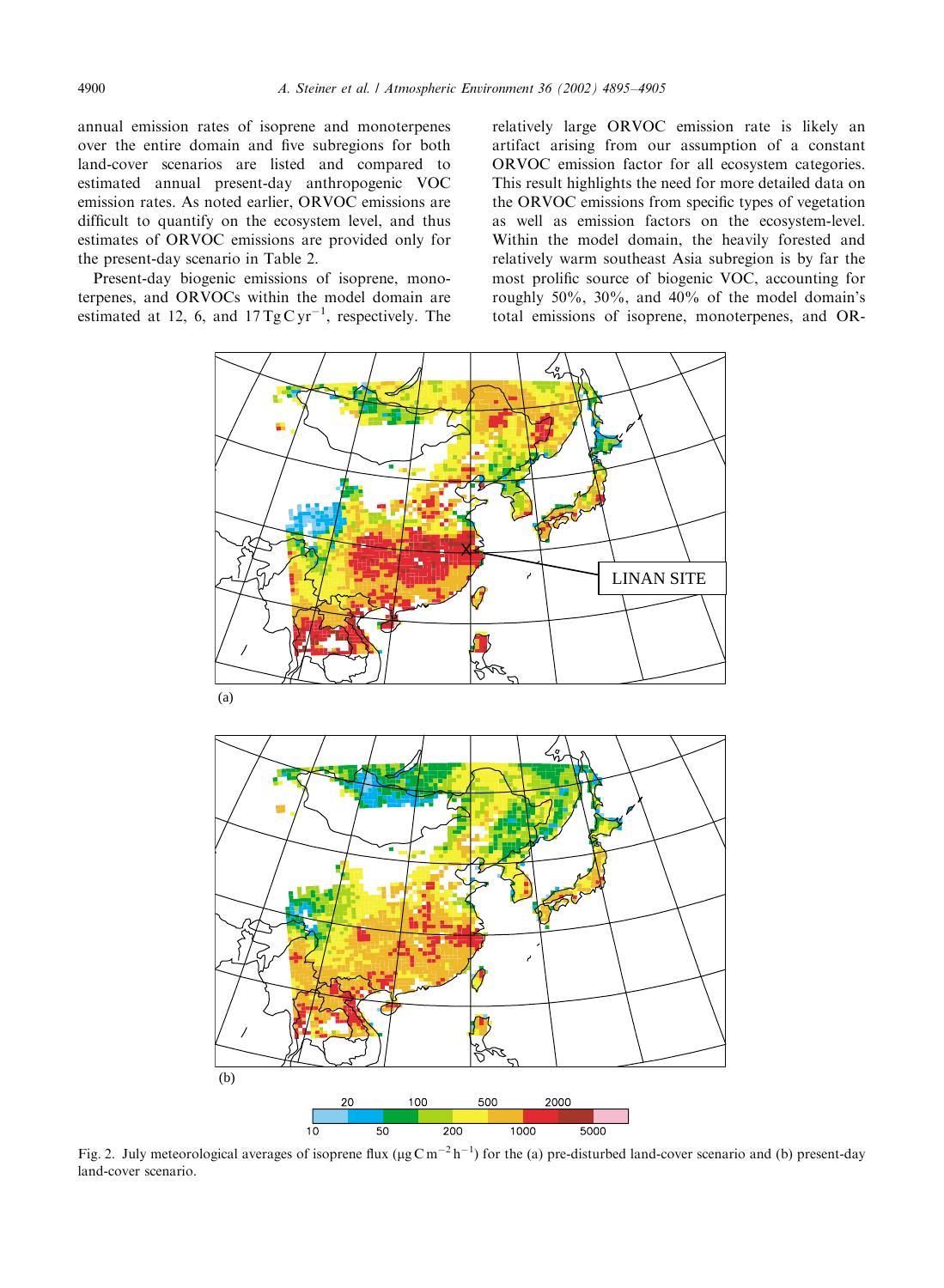annual emission rates of isoprene and monoterpenes over the entire domain and five subregions for both land-cover scenarios are listed and compared to estimated annual present-day anthropogenic VOC emission rates. As noted earlier, ORVOC emissions are difficult to quantify on the ecosystem level, and thus estimates of ORVOC emissions are provided only for the present-day scenario in Table 2.

Present-day biogenic emissions of isoprene, monoterpenes, and ORVOCs within the model domain are estimated at 12, 6, and  $17 \text{ TgC yr}^{-1}$ , respectively. The

relatively large ORVOC emission rate is likely an artifact arising from our assumption of a constant ORVOC emission factor for all ecosystem categories. This result highlights the need for more detailed data on the ORVOC emissions from specific types of vegetation as well as emission factors on the ecosystem-level. Within the model domain, the heavily forested and relatively warm southeast Asia subregion is by far the most prolific source of biogenic VOC, accounting for roughly  $50\%$ ,  $30\%$ , and  $40\%$  of the model domain's total emissions of isoprene, monoterpenes, and OR-



Fig. 2. July meteorological averages of isoprene flux ( $\mu$ gCm<sup>-2</sup>h<sup>-1</sup>) for the (a) pre-disturbed land-cover scenario and (b) present-day land-cover scenario.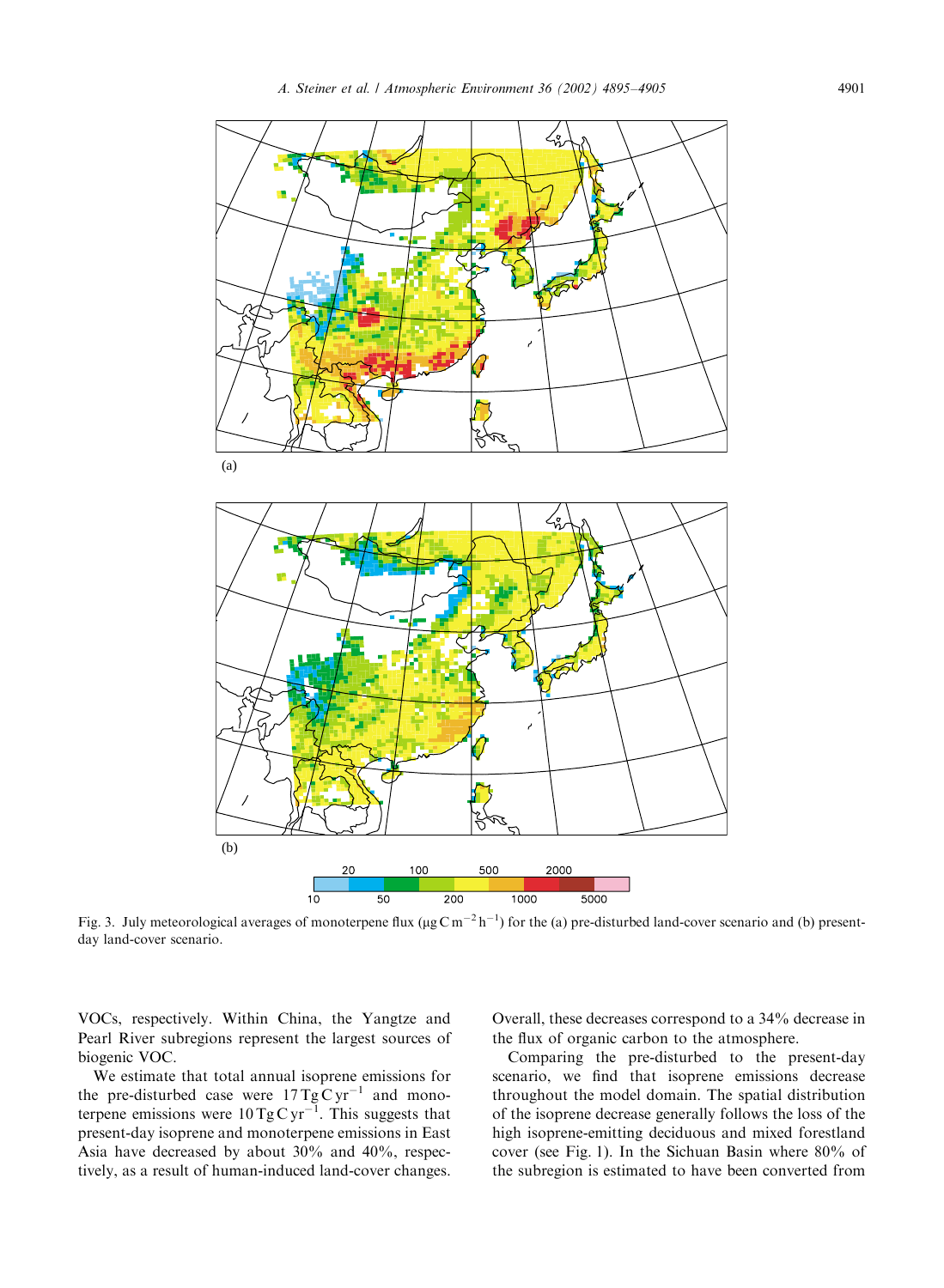

Fig. 3. July meteorological averages of monoterpene flux ( $\mu$ g Cm<sup>-2</sup>h<sup>-1</sup>) for the (a) pre-disturbed land-cover scenario and (b) presentday land-cover scenario.

VOCs, respectively. Within China, the Yangtze and Pearl River subregions represent the largest sources of biogenic VOC.

We estimate that total annual isoprene emissions for the pre-disturbed case were  $17 \text{ Tg C yr}^{-1}$  and monoterpene emissions were  $10 \text{ TgC yr}^{-1}$ . This suggests that present-day isoprene and monoterpene emissions in East Asia have decreased by about 30% and 40%, respectively, as a result of human-induced land-cover changes.

Overall, these decreases correspond to a 34% decrease in the flux of organic carbon to the atmosphere.

Comparing the pre-disturbed to the present-day scenario, we find that isoprene emissions decrease throughout the model domain. The spatial distribution of the isoprene decrease generally follows the loss of the high isoprene-emitting deciduous and mixed forestland cover (see Fig. 1). In the Sichuan Basin where 80% of the subregion is estimated to have been converted from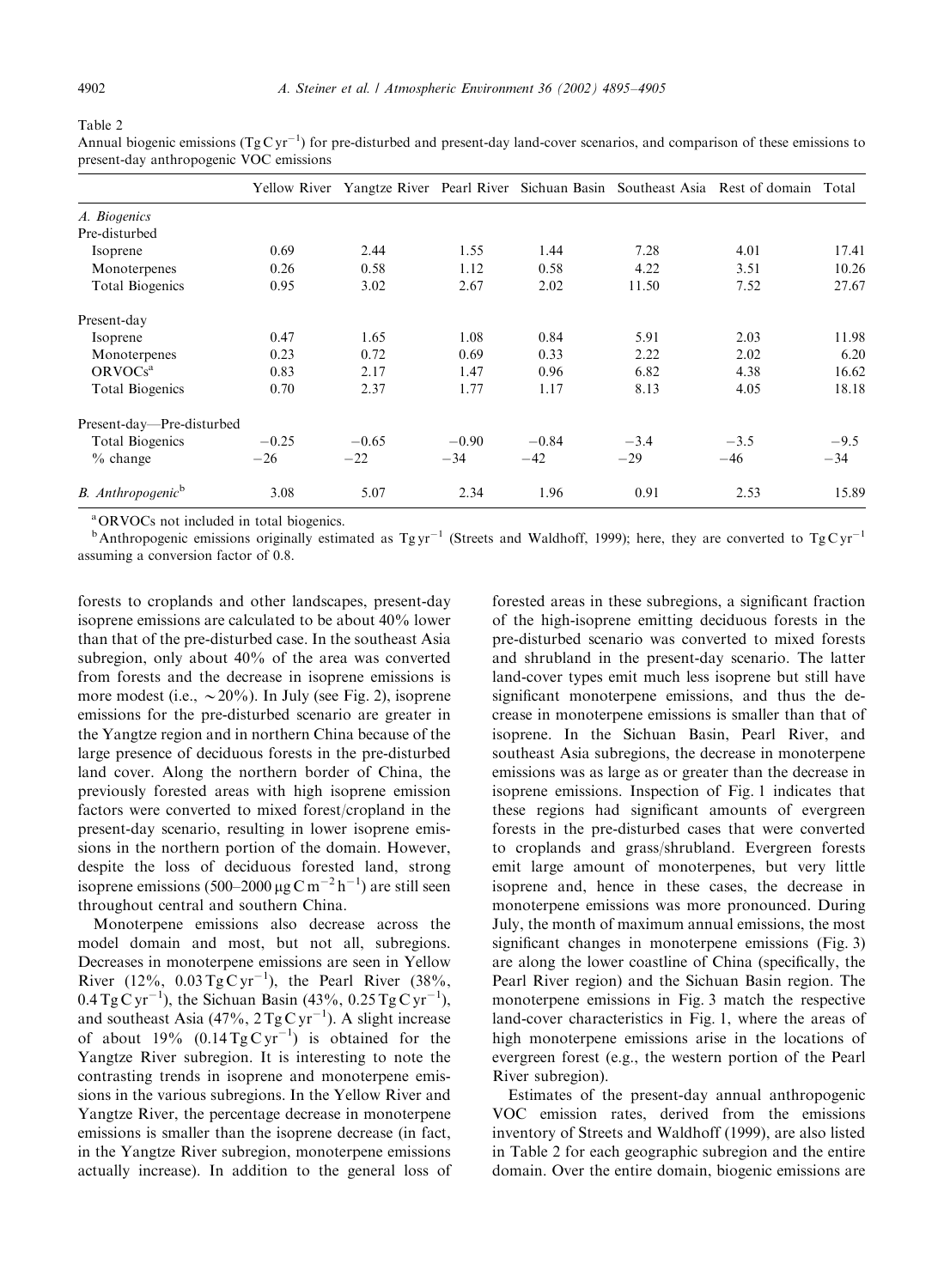| a pie |  |
|-------|--|
|-------|--|

Annual biogenic emissions  $(Tg Cyr^{-1})$  for pre-disturbed and present-day land-cover scenarios, and comparison of these emissions to present-day anthropogenic VOC emissions

|                                      |         |         |         |         |        | Yellow River Yangtze River Pearl River Sichuan Basin Southeast Asia Rest of domain Total |        |
|--------------------------------------|---------|---------|---------|---------|--------|------------------------------------------------------------------------------------------|--------|
| A. Biogenics                         |         |         |         |         |        |                                                                                          |        |
| Pre-disturbed                        |         |         |         |         |        |                                                                                          |        |
| Isoprene                             | 0.69    | 2.44    | 1.55    | 1.44    | 7.28   | 4.01                                                                                     | 17.41  |
| Monoterpenes                         | 0.26    | 0.58    | 1.12    | 0.58    | 4.22   | 3.51                                                                                     | 10.26  |
| <b>Total Biogenics</b>               | 0.95    | 3.02    | 2.67    | 2.02    | 11.50  | 7.52                                                                                     | 27.67  |
| Present-day                          |         |         |         |         |        |                                                                                          |        |
| Isoprene                             | 0.47    | 1.65    | 1.08    | 0.84    | 5.91   | 2.03                                                                                     | 11.98  |
| Monoterpenes                         | 0.23    | 0.72    | 0.69    | 0.33    | 2.22   | 2.02                                                                                     | 6.20   |
| ORVOCs <sup>a</sup>                  | 0.83    | 2.17    | 1.47    | 0.96    | 6.82   | 4.38                                                                                     | 16.62  |
| <b>Total Biogenics</b>               | 0.70    | 2.37    | 1.77    | 1.17    | 8.13   | 4.05                                                                                     | 18.18  |
| Present-day-Pre-disturbed            |         |         |         |         |        |                                                                                          |        |
| Total Biogenics                      | $-0.25$ | $-0.65$ | $-0.90$ | $-0.84$ | $-3.4$ | $-3.5$                                                                                   | $-9.5$ |
| $\%$ change                          | $-26$   | $-22$   | $-34$   | $-42$   | $-29$  | $-46$                                                                                    | $-34$  |
| <b>B.</b> Anthropogenic <sup>b</sup> | 3.08    | 5.07    | 2.34    | 1.96    | 0.91   | 2.53                                                                                     | 15.89  |

<sup>a</sup>ORVOCs not included in total biogenics.

 $b$ Anthropogenic emissions originally estimated as Tg yr<sup>-1</sup> (Streets and Waldhoff, 1999); here, they are converted to Tg C yr<sup>-1</sup> assuming a conversion factor of 0.8.

forests to croplands and other landscapes, present-day isoprene emissions are calculated to be about 40% lower than that of the pre-disturbed case. In the southeast Asia subregion, only about 40% of the area was converted from forests and the decrease in isoprene emissions is more modest (i.e.,  $\sim$  20%). In July (see Fig. 2), isoprene emissions for the pre-disturbed scenario are greater in the Yangtze region and in northern China because of the large presence of deciduous forests in the pre-disturbed land cover. Along the northern border of China, the previously forested areas with high isoprene emission factors were converted to mixed forest/cropland in the present-day scenario, resulting in lower isoprene emissions in the northern portion of the domain. However, despite the loss of deciduous forested land, strong isoprene emissions (500–2000 µg C m<sup>-2</sup> h<sup>-1</sup>) are still seen throughout central and southern China.

Monoterpene emissions also decrease across the model domain and most, but not all, subregions. Decreases in monoterpene emissions are seen in Yellow River  $(12\%, 0.03 \text{ Tg C yr}^{-1})$ , the Pearl River  $(38\%,$  $0.4 \text{ Tg C yr}^{-1}$ ), the Sichuan Basin (43%, 0.25 Tg C yr<sup>-1</sup>), and southeast Asia  $(47\%, 2 \text{ Tg C yr}^{-1})$ . A slight increase of about 19%  $(0.14 \text{ Tg C yr}^{-1})$  is obtained for the Yangtze River subregion. It is interesting to note the contrasting trends in isoprene and monoterpene emissions in the various subregions. In the Yellow River and Yangtze River, the percentage decrease in monoterpene emissions is smaller than the isoprene decrease (in fact, in the Yangtze River subregion, monoterpene emissions actually increase). In addition to the general loss of

forested areas in these subregions, a significant fraction of the high-isoprene emitting deciduous forests in the pre-disturbed scenario was converted to mixed forests and shrubland in the present-day scenario. The latter land-cover types emit much less isoprene but still have significant monoterpene emissions, and thus the decrease in monoterpene emissions is smaller than that of isoprene. In the Sichuan Basin, Pearl River, and southeast Asia subregions, the decrease in monoterpene emissions was as large as or greater than the decrease in isoprene emissions. Inspection of Fig. 1 indicates that these regions had significant amounts of evergreen forests in the pre-disturbed cases that were converted to croplands and grass/shrubland. Evergreen forests emit large amount of monoterpenes, but very little isoprene and, hence in these cases, the decrease in monoterpene emissions was more pronounced. During July, the month of maximum annual emissions, the most significant changes in monoterpene emissions (Fig. 3) are along the lower coastline of China (specifically, the Pearl River region) and the Sichuan Basin region. The monoterpene emissions in Fig. 3 match the respective land-cover characteristics in Fig. 1, where the areas of high monoterpene emissions arise in the locations of evergreen forest (e.g., the western portion of the Pearl River subregion).

Estimates of the present-day annual anthropogenic VOC emission rates, derived from the emissions inventory of Streets and Waldhoff (1999), are also listed in Table 2 for each geographic subregion and the entire domain. Over the entire domain, biogenic emissions are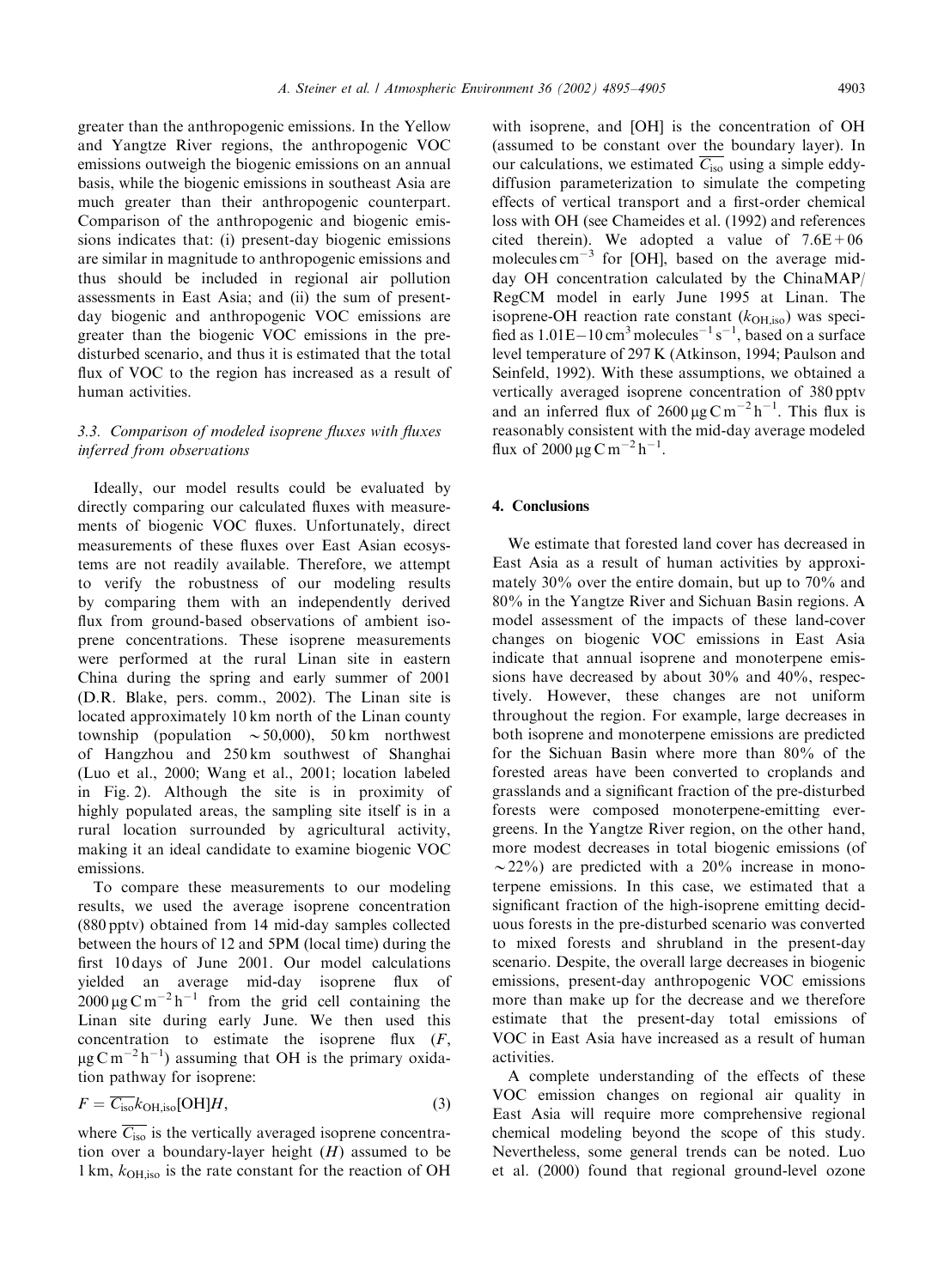greater than the anthropogenic emissions. In the Yellow and Yangtze River regions, the anthropogenic VOC emissions outweigh the biogenic emissions on an annual basis, while the biogenic emissions in southeast Asia are much greater than their anthropogenic counterpart. Comparison of the anthropogenic and biogenic emissions indicates that: (i) present-day biogenic emissions are similar in magnitude to anthropogenic emissions and thus should be included in regional air pollution assessments in East Asia; and (ii) the sum of presentday biogenic and anthropogenic VOC emissions are greater than the biogenic VOC emissions in the predisturbed scenario, and thus it is estimated that the total flux of VOC to the region has increased as a result of human activities.

# 3.3. Comparison of modeled isoprene fluxes with fluxes inferred from observations

Ideally, our model results could be evaluated by directly comparing our calculated fluxes with measurements of biogenic VOC fluxes. Unfortunately, direct measurements of these fluxes over East Asian ecosystems are not readily available. Therefore, we attempt to verify the robustness of our modeling results by comparing them with an independently derived flux from ground-based observations of ambient isoprene concentrations. These isoprene measurements were performed at the rural Linan site in eastern China during the spring and early summer of 2001 (D.R. Blake, pers. comm., 2002). The Linan site is located approximately 10 km north of the Linan county township (population  $\sim$  50,000), 50 km northwest of Hangzhou and 250 km southwest of Shanghai (Luo et al., 2000; Wanget al., 2001; location labeled in Fig. 2). Although the site is in proximity of highly populated areas, the sampling site itself is in a rural location surrounded by agricultural activity, making it an ideal candidate to examine biogenic VOC emissions.

To compare these measurements to our modeling results, we used the average isoprene concentration (880 pptv) obtained from 14 mid-day samples collected between the hours of 12 and 5PM (local time) during the first 10 days of June 2001. Our model calculations yielded an average mid-day isoprene flux of  $2000 \,\mu$ g C m<sup>-2</sup> h<sup>-1</sup> from the grid cell containing the Linan site during early June. We then used this concentration to estimate the isoprene flux  $(F,$  $\mu$ g C m<sup>-2</sup> h<sup>-1</sup>) assuming that OH is the primary oxidation pathway for isoprene:

$$
F = \overline{C_{\text{iso}}} k_{\text{OH},\text{iso}}[\text{OH}]H,\tag{3}
$$

where  $\overline{C_{\text{iso}}}$  is the vertically averaged isoprene concentration over a boundary-layer height  $(H)$  assumed to be 1 km,  $k_{OH}$  iso is the rate constant for the reaction of OH

with isoprene, and [OH] is the concentration of OH (assumed to be constant over the boundary layer). In our calculations, we estimated  $\overline{C_{\text{iso}}}$  using a simple eddydiffusion parameterization to simulate the competing effects of vertical transport and a first-order chemical loss with OH (see Chameides et al. (1992) and references cited therein). We adopted a value of  $7.6E+06$ molecules  $cm^{-3}$  for [OH], based on the average midday OH concentration calculated by the ChinaMAP/ RegCM model in early June 1995 at Linan. The isoprene-OH reaction rate constant  $(k<sub>OH,iso</sub>)$  was specified as  $1.01E-10 \text{ cm}^3$  molecules<sup>-1</sup> s<sup>-1</sup>, based on a surface level temperature of 297 K (Atkinson, 1994; Paulson and Seinfeld, 1992). With these assumptions, we obtained a vertically averaged isoprene concentration of 380 pptv and an inferred flux of  $2600 \mu g \text{ C m}^{-2} \text{ h}^{-1}$ . This flux is reasonably consistent with the mid-day average modeled flux of  $2000 \,\mu g \, \text{C m}^{-2} \text{h}^{-1}$ .

# 4. Conclusions

We estimate that forested land cover has decreased in East Asia as a result of human activities by approximately 30% over the entire domain, but up to 70% and 80% in the Yangtze River and Sichuan Basin regions. A model assessment of the impacts of these land-cover changes on biogenic VOC emissions in East Asia indicate that annual isoprene and monoterpene emissions have decreased by about 30% and 40%, respectively. However, these changes are not uniform throughout the region. For example, large decreases in both isoprene and monoterpene emissions are predicted for the Sichuan Basin where more than 80% of the forested areas have been converted to croplands and grasslands and a significant fraction of the pre-disturbed forests were composed monoterpene-emitting evergreens. In the Yangtze River region, on the other hand, more modest decreases in total biogenic emissions (of  $\sim$ 22%) are predicted with a 20% increase in monoterpene emissions. In this case, we estimated that a significant fraction of the high-isoprene emitting deciduous forests in the pre-disturbed scenario was converted to mixed forests and shrubland in the present-day scenario. Despite, the overall large decreases in biogenic emissions, present-day anthropogenic VOC emissions more than make up for the decrease and we therefore estimate that the present-day total emissions of VOC in East Asia have increased as a result of human activities.

A complete understanding of the effects of these VOC emission changes on regional air quality in East Asia will require more comprehensive regional chemical modeling beyond the scope of this study. Nevertheless, some general trends can be noted. Luo et al. (2000) found that regional ground-level ozone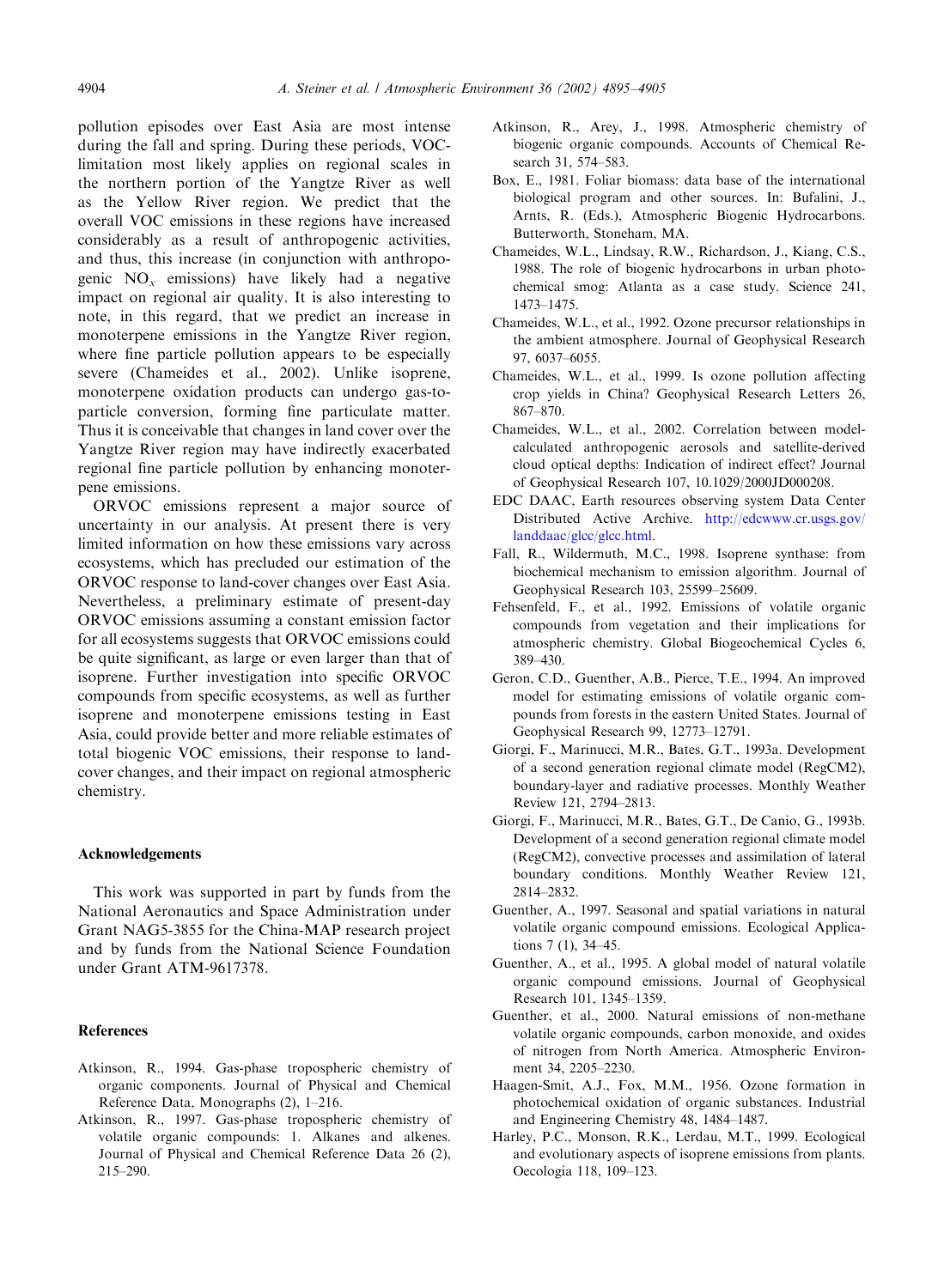pollution episodes over East Asia are most intense during the fall and spring. During these periods, VOClimitation most likely applies on regional scales in the northern portion of the Yangtze River as well as the Yellow River region. We predict that the overall VOC emissions in these regions have increased considerably as a result of anthropogenic activities, and thus, this increase (in conjunction with anthropogenic  $NO_x$  emissions) have likely had a negative impact on regional air quality. It is also interesting to note, in this regard, that we predict an increase in monoterpene emissions in the Yangtze River region, where fine particle pollution appears to be especially severe (Chameides et al., 2002). Unlike isoprene, monoterpene oxidation products can undergo gas-toparticle conversion, forming fine particulate matter. Thus it is conceivable that changes in land cover over the Yangtze River region may have indirectly exacerbated regional fine particle pollution by enhancing monoterpene emissions.

ORVOC emissions represent a major source of uncertainty in our analysis. At present there is very limited information on how these emissions vary across ecosystems, which has precluded our estimation of the ORVOC response to land-cover changes over East Asia. Nevertheless, a preliminary estimate of present-day ORVOC emissions assuminga constant emission factor for all ecosystems suggests that ORVOC emissions could be quite significant, as large or even larger than that of isoprene. Further investigation into specific ORVOC compounds from specific ecosystems, as well as further isoprene and monoterpene emissions testing in East Asia, could provide better and more reliable estimates of total biogenic VOC emissions, their response to landcover changes, and their impact on regional atmospheric chemistry.

#### Acknowledgements

This work was supported in part by funds from the National Aeronautics and Space Administration under Grant NAG5-3855 for the China-MAP research project and by funds from the National Science Foundation under Grant ATM-9617378.

#### References

- Atkinson, R., 1994. Gas-phase tropospheric chemistry of organic components. Journal of Physical and Chemical Reference Data, Monographs (2), 1–216.
- Atkinson, R., 1997. Gas-phase tropospheric chemistry of volatile organic compounds: 1. Alkanes and alkenes. Journal of Physical and Chemical Reference Data 26 (2), 215–290.
- Atkinson, R., Arey, J., 1998. Atmospheric chemistry of biogenic organic compounds. Accounts of Chemical Research 31, 574–583.
- Box, E., 1981. Foliar biomass: data base of the international biological program and other sources. In: Bufalini, J., Arnts, R. (Eds.), Atmospheric Biogenic Hydrocarbons. Butterworth, Stoneham, MA.
- Chameides, W.L., Lindsay, R.W., Richardson, J., Kiang, C.S., 1988. The role of biogenic hydrocarbons in urban photochemical smog: Atlanta as a case study. Science 241, 1473–1475.
- Chameides, W.L., et al., 1992. Ozone precursor relationships in the ambient atmosphere. Journal of Geophysical Research 97, 6037–6055.
- Chameides, W.L., et al., 1999. Is ozone pollution affecting crop yields in China? Geophysical Research Letters 26, 867–870.
- Chameides, W.L., et al., 2002. Correlation between modelcalculated anthropogenic aerosols and satellite-derived cloud optical depths: Indication of indirect effect? Journal of Geophysical Research 107, 10.1029/2000JD000208.
- EDC DAAC, Earth resources observing system Data Center Distributed Active Archive. [http://edcwww.cr.usgs.gov/](http://edcwww.cr.usgs.gov/landdaac/glcc/glcc.html) [landdaac/glcc/glcc.html.](http://edcwww.cr.usgs.gov/landdaac/glcc/glcc.html)
- Fall, R., Wildermuth, M.C., 1998. Isoprene synthase: from biochemical mechanism to emission algorithm. Journal of Geophysical Research 103, 25599–25609.
- Fehsenfeld, F., et al., 1992. Emissions of volatile organic compounds from vegetation and their implications for atmospheric chemistry. Global Biogeochemical Cycles 6, 389–430.
- Geron, C.D., Guenther, A.B., Pierce, T.E., 1994. An improved model for estimating emissions of volatile organic compounds from forests in the eastern United States. Journal of Geophysical Research 99, 12773–12791.
- Giorgi, F., Marinucci, M.R., Bates, G.T., 1993a. Development of a second generation regional climate model (RegCM2), boundary-layer and radiative processes. Monthly Weather Review 121, 2794–2813.
- Giorgi, F., Marinucci, M.R., Bates, G.T., De Canio, G., 1993b. Development of a second generation regional climate model (RegCM2), convective processes and assimilation of lateral boundary conditions. Monthly Weather Review 121, 2814–2832.
- Guenther, A., 1997. Seasonal and spatial variations in natural volatile organic compound emissions. Ecological Applications 7 (1), 34–45.
- Guenther, A., et al., 1995. A global model of natural volatile organic compound emissions. Journal of Geophysical Research 101, 1345–1359.
- Guenther, et al., 2000. Natural emissions of non-methane volatile organic compounds, carbon monoxide, and oxides of nitrogen from North America. Atmospheric Environment 34, 2205–2230.
- Haagen-Smit, A.J., Fox, M.M., 1956. Ozone formation in photochemical oxidation of organic substances. Industrial and Engineering Chemistry 48, 1484–1487.
- Harley, P.C., Monson, R.K., Lerdau, M.T., 1999. Ecological and evolutionary aspects of isoprene emissions from plants. Oecologia 118, 109–123.